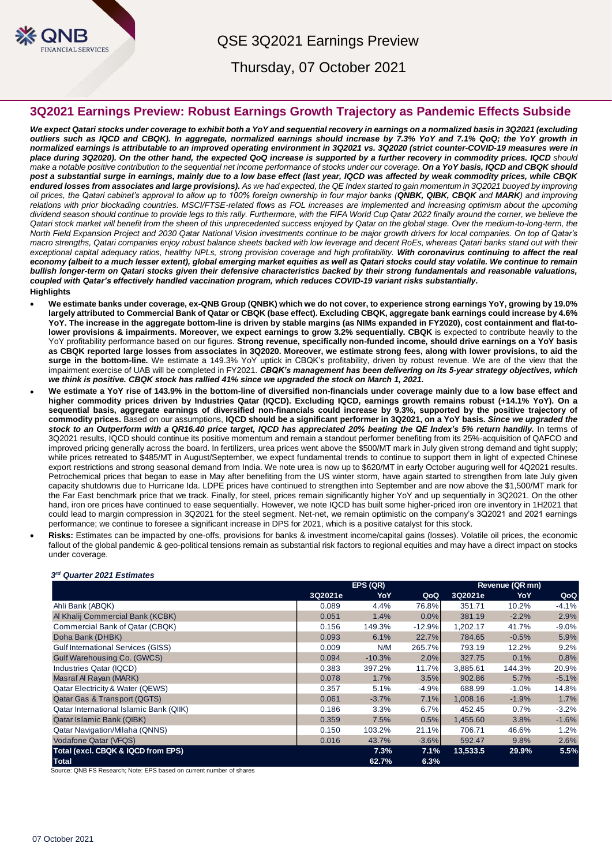

QSE 3Q2021 Earnings Preview

Thursday, 07 October 2021

# **3Q2021 Earnings Preview: Robust Earnings Growth Trajectory as Pandemic Effects Subside**

*We expect Qatari stocks under coverage to exhibit both a YoY and sequential recovery in earnings on a normalized basis in 3Q2021 (excluding outliers such as IQCD and CBQK). In aggregate, normalized earnings should increase by 7.3% YoY and 7.1% QoQ; the YoY growth in normalized earnings is attributable to an improved operating environment in 3Q2021 vs. 3Q2020 (strict counter-COVID-19 measures were in place during 3Q2020). On the other hand, the expected QoQ increase is supported by a further recovery in commodity prices. IQCD should make a notable positive contribution to the sequential net income performance of stocks under our coverage. On a YoY basis, IQCD and CBQK should post a substantial surge in earnings, mainly due to a low base effect (last year, IQCD was affected by weak commodity prices, while CBQK endured losses from associates and large provisions). As we had expected, the QE Index started to gain momentum in 3Q2021 buoyed by improving oil prices, the Qatari cabinet's approval to allow up to 100% foreign ownership in four major banks (QNBK, QIBK, CBQK and MARK) and improving relations with prior blockading countries. MSCI/FTSE-related flows as FOL increases are implemented and increasing optimism about the upcoming dividend season should continue to provide legs to this rally. Furthermore, with the FIFA World Cup Qatar 2022 finally around the corner, we believe the*  Qatari stock market will benefit from the sheen of this unprecedented success enjoyed by Qatar on the global stage. Over the medium-to-long-term, the *North Field Expansion Project and 2030 Qatar National Vision investments continue to be major growth drivers for local companies. On top of Qatar's macro strengths, Qatari companies enjoy robust balance sheets backed with low leverage and decent RoEs, whereas Qatari banks stand out with their exceptional capital adequacy ratios, healthy NPLs, strong provision coverage and high profitability. With coronavirus continuing to affect the real economy (albeit to a much lesser extent), global emerging market equities as well as Qatari stocks could stay volatile. We continue to remain bullish longer-term on Qatari stocks given their defensive characteristics backed by their strong fundamentals and reasonable valuations, coupled with Qatar's effectively handled vaccination program, which reduces COVID-19 variant risks substantially.*  **Highlights**

- **We estimate banks under coverage, ex-QNB Group (QNBK) which we do not cover, to experience strong earnings YoY, growing by 19.0% largely attributed to Commercial Bank of Qatar or CBQK (base effect). Excluding CBQK, aggregate bank earnings could increase by 4.6% YoY. The increase in the aggregate bottom-line is driven by stable margins (as NIMs expanded in FY2020), cost containment and flat-tolower provisions & impairments. Moreover, we expect earnings to grow 3.2% sequentially. CBQK** is expected to contribute heavily to the YoY profitability performance based on our figures. **Strong revenue, specifically non-funded income, should drive earnings on a YoY basis as CBQK reported large losses from associates in 3Q2020. Moreover, we estimate strong fees, along with lower provisions, to aid the surge in the bottom-line.** We estimate a 149.3% YoY uptick in CBQK's profitability, driven by robust revenue. We are of the view that the impairment exercise of UAB will be completed in FY2021. *CBQK's management has been delivering on its 5-year strategy objectives, which we think is positive. CBQK stock has rallied 41% since we upgraded the stock on March 1, 2021.*
- **We estimate a YoY rise of 143.9% in the bottom-line of diversified non-financials under coverage mainly due to a low base effect and higher commodity prices driven by Industries Qatar (IQCD). Excluding IQCD, earnings growth remains robust (+14.1% YoY). On a sequential basis, aggregate earnings of diversified non-financials could increase by 9.3%, supported by the positive trajectory of commodity prices.** Based on our assumptions, **IQCD should be a significant performer in 3Q2021, on a YoY basis.** *Since we upgraded the stock to an Outperform with a QR16.40 price target, IQCD has appreciated 20% beating the QE Index's 5% return handily.* In terms of 3Q2021 results, IQCD should continue its positive momentum and remain a standout performer benefiting from its 25%-acquisition of QAFCO and improved pricing generally across the board. In fertilizers, urea prices went above the \$500/MT mark in July given strong demand and tight supply; while prices retreated to \$485/MT in August/September, we expect fundamental trends to continue to support them in light of expected Chinese export restrictions and strong seasonal demand from India. We note urea is now up to \$620/MT in early October auguring well for 4Q2021 results. Petrochemical prices that began to ease in May after benefiting from the US winter storm, have again started to strengthen from late July given capacity shutdowns due to Hurricane Ida. LDPE prices have continued to strengthen into September and are now above the \$1,500/MT mark for the Far East benchmark price that we track. Finally, for steel, prices remain significantly higher YoY and up sequentially in 3Q2021. On the other hand, iron ore prices have continued to ease sequentially. However, we note IQCD has built some higher-priced iron ore inventory in 1H2021 that could lead to margin compression in 3Q2021 for the steel segment. Net-net, we remain optimistic on the company's 3Q2021 and 2021 earnings performance; we continue to foresee a significant increase in DPS for 2021, which is a positive catalyst for this stock.
	- **Risks:** Estimates can be impacted by one-offs, provisions for banks & investment income/capital gains (losses). Volatile oil prices, the economic fallout of the global pandemic & geo-political tensions remain as substantial risk factors to regional equities and may have a direct impact on stocks under coverage.

|                                             |         | EPS (QR) |          |          | Revenue (QR mn) |          |  |
|---------------------------------------------|---------|----------|----------|----------|-----------------|----------|--|
|                                             | 3Q2021e | YoY      | QoQ      | 3Q2021e  | YoY             | QoQ      |  |
| Ahli Bank (ABQK)                            | 0.089   | 4.4%     | 76.8%    | 351.71   | 10.2%           | $-4.1%$  |  |
| Al Khalij Commercial Bank (KCBK)            | 0.051   | 1.4%     | 0.0%     | 381.19   | $-2.2%$         | 2.9%     |  |
| Commercial Bank of Qatar (CBQK)             | 0.156   | 149.3%   | $-12.9%$ | 1,202.17 | 41.7%           | $-9.0\%$ |  |
| Doha Bank (DHBK)                            | 0.093   | 6.1%     | 22.7%    | 784.65   | $-0.5%$         | 5.9%     |  |
| <b>Gulf International Services (GISS)</b>   | 0.009   | N/M      | 265.7%   | 793.19   | 12.2%           | 9.2%     |  |
| Gulf Warehousing Co. (GWCS)                 | 0.094   | $-10.3%$ | 2.0%     | 327.75   | 0.1%            | 0.8%     |  |
| Industries Qatar (IQCD)                     | 0.383   | 397.2%   | 11.7%    | 3,885.61 | 144.3%          | 20.9%    |  |
| Masraf Al Rayan (MARK)                      | 0.078   | $1.7\%$  | 3.5%     | 902.86   | 5.7%            | $-5.1%$  |  |
| <b>Qatar Electricity &amp; Water (QEWS)</b> | 0.357   | 5.1%     | $-4.9%$  | 688.99   | $-1.0\%$        | 14.8%    |  |
| Qatar Gas & Transport (QGTS)                | 0.061   | $-3.7%$  | 7.1%     | 1,008.16 | $-1.9%$         | 1.7%     |  |
| Qatar International Islamic Bank (QIIK)     | 0.186   | 3.3%     | 6.7%     | 452.45   | 0.7%            | $-3.2%$  |  |
| Qatar Islamic Bank (QIBK)                   | 0.359   | 7.5%     | 0.5%     | 1,455.60 | 3.8%            | $-1.6%$  |  |
| <b>Qatar Navigation/Milaha (QNNS)</b>       | 0.150   | 103.2%   | 21.1%    | 706.71   | 46.6%           | 1.2%     |  |
| <b>Vodafone Qatar (VFQS)</b>                | 0.016   | 43.7%    | $-3.6%$  | 592.47   | 9.8%            | 2.6%     |  |
| Total (excl. CBQK & IQCD from EPS)          |         | 7.3%     | 7.1%     | 13,533.5 | 29.9%           | 5.5%     |  |
| <b>Total</b>                                |         | 62.7%    | 6.3%     |          |                 |          |  |

*3 rd Quarter 2021 Estimates*

Source: QNB FS Research; Note: EPS based on current number of shares